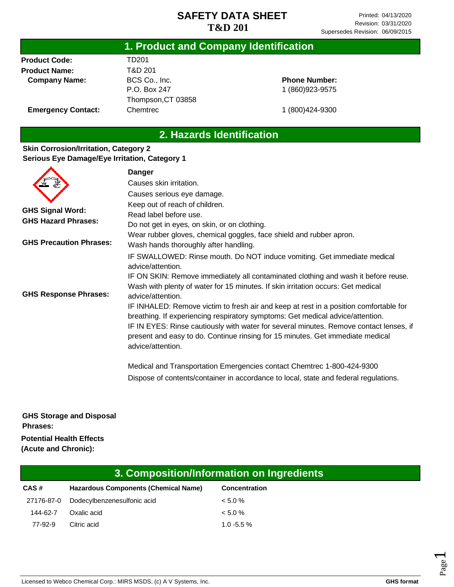|                           | 1. Product and Company Identification |                 |  |
|---------------------------|---------------------------------------|-----------------|--|
| <b>Product Code:</b>      | TD201                                 |                 |  |
| <b>Product Name:</b>      | T&D 201                               |                 |  |
| <b>Company Name:</b>      | BCS Co., Inc.                         | <b>Phone Nu</b> |  |
|                           | P.O. Box 247                          | 1 (860) 92      |  |
|                           | Thompson, CT 03858                    |                 |  |
| <b>Emergency Contact:</b> | Chemtrec                              | 1 (800) 42      |  |

#### **Phone Number:** 1 (860)923-9575

**Emergency** 

1 (800)424-9300

# **2. Hazards Identification**

#### **Skin Corrosion/Irritation, Category 2 Serious Eye Damage/Eye Irritation, Category 1**

|                                                       | <b>Danger</b>                                                                                                                                                                                                                                                                                                                                                                                 |
|-------------------------------------------------------|-----------------------------------------------------------------------------------------------------------------------------------------------------------------------------------------------------------------------------------------------------------------------------------------------------------------------------------------------------------------------------------------------|
|                                                       | Causes skin irritation.                                                                                                                                                                                                                                                                                                                                                                       |
|                                                       | Causes serious eye damage.                                                                                                                                                                                                                                                                                                                                                                    |
| <b>GHS Signal Word:</b><br><b>GHS Hazard Phrases:</b> | Keep out of reach of children.<br>Read label before use.<br>Do not get in eyes, on skin, or on clothing.<br>Wear rubber gloves, chemical goggles, face shield and rubber apron.                                                                                                                                                                                                               |
| <b>GHS Precaution Phrases:</b>                        | Wash hands thoroughly after handling.                                                                                                                                                                                                                                                                                                                                                         |
|                                                       | IF SWALLOWED: Rinse mouth. Do NOT induce vomiting. Get immediate medical<br>advice/attention.<br>IF ON SKIN: Remove immediately all contaminated clothing and wash it before reuse.<br>Wash with plenty of water for 15 minutes. If skin irritation occurs: Get medical                                                                                                                       |
| <b>GHS Response Phrases:</b>                          | advice/attention.<br>IF INHALED: Remove victim to fresh air and keep at rest in a position comfortable for<br>breathing. If experiencing respiratory symptoms: Get medical advice/attention.<br>IF IN EYES: Rinse cautiously with water for several minutes. Remove contact lenses, if<br>present and easy to do. Continue rinsing for 15 minutes. Get immediate medical<br>advice/attention. |
|                                                       | Medical and Transportation Emergencies contact Chemtrec 1-800-424-9300<br>Dispose of contents/container in accordance to local, state and federal regulations.                                                                                                                                                                                                                                |

**GHS Storage and Disposal Phrases: Potential Health Effects (Acute and Chronic):**

| 3. Composition/Information on Ingredients   |                      |  |  |
|---------------------------------------------|----------------------|--|--|
| <b>Hazardous Components (Chemical Name)</b> | <b>Concentration</b> |  |  |
| Dodecylbenzenesulfonic acid                 | $< 5.0 \%$           |  |  |
| Oxalic acid                                 | $< 5.0 \%$           |  |  |
| Citric acid                                 | $1.0 - 5.5 \%$       |  |  |
|                                             |                      |  |  |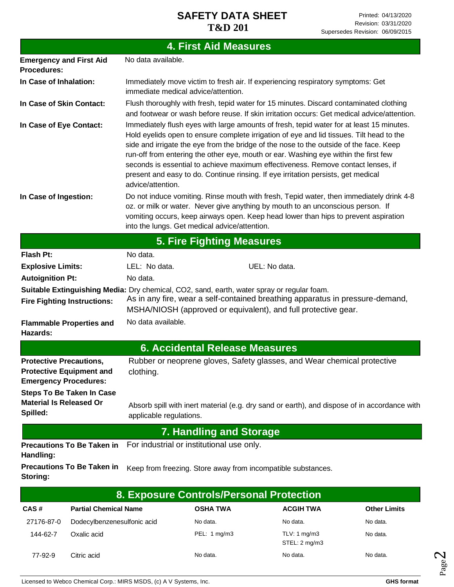|                                                                                                                                       |                                                                                                                                                                                                                                                                                                                                                                                                                                                                                                                                                                     | <b>4. First Aid Measures</b>                  |                                                                                                                                                                                                                                                                   |                     |
|---------------------------------------------------------------------------------------------------------------------------------------|---------------------------------------------------------------------------------------------------------------------------------------------------------------------------------------------------------------------------------------------------------------------------------------------------------------------------------------------------------------------------------------------------------------------------------------------------------------------------------------------------------------------------------------------------------------------|-----------------------------------------------|-------------------------------------------------------------------------------------------------------------------------------------------------------------------------------------------------------------------------------------------------------------------|---------------------|
| <b>Emergency and First Aid</b><br><b>Procedures:</b>                                                                                  | No data available.                                                                                                                                                                                                                                                                                                                                                                                                                                                                                                                                                  |                                               |                                                                                                                                                                                                                                                                   |                     |
| In Case of Inhalation:                                                                                                                | Immediately move victim to fresh air. If experiencing respiratory symptoms: Get<br>immediate medical advice/attention.                                                                                                                                                                                                                                                                                                                                                                                                                                              |                                               |                                                                                                                                                                                                                                                                   |                     |
| In Case of Skin Contact:                                                                                                              | Flush thoroughly with fresh, tepid water for 15 minutes. Discard contaminated clothing<br>and footwear or wash before reuse. If skin irritation occurs: Get medical advice/attention.                                                                                                                                                                                                                                                                                                                                                                               |                                               |                                                                                                                                                                                                                                                                   |                     |
| In Case of Eye Contact:                                                                                                               | Immediately flush eyes with large amounts of fresh, tepid water for at least 15 minutes.<br>Hold eyelids open to ensure complete irrigation of eye and lid tissues. Tilt head to the<br>side and irrigate the eye from the bridge of the nose to the outside of the face. Keep<br>run-off from entering the other eye, mouth or ear. Washing eye within the first few<br>seconds is essential to achieve maximum effectiveness. Remove contact lenses, if<br>present and easy to do. Continue rinsing. If eye irritation persists, get medical<br>advice/attention. |                                               |                                                                                                                                                                                                                                                                   |                     |
| In Case of Ingestion:                                                                                                                 |                                                                                                                                                                                                                                                                                                                                                                                                                                                                                                                                                                     | into the lungs. Get medical advice/attention. | Do not induce vomiting. Rinse mouth with fresh, Tepid water, then immediately drink 4-8<br>oz. or milk or water. Never give anything by mouth to an unconscious person. If<br>vomiting occurs, keep airways open. Keep head lower than hips to prevent aspiration |                     |
|                                                                                                                                       |                                                                                                                                                                                                                                                                                                                                                                                                                                                                                                                                                                     | <b>5. Fire Fighting Measures</b>              |                                                                                                                                                                                                                                                                   |                     |
| <b>Flash Pt:</b>                                                                                                                      | No data.                                                                                                                                                                                                                                                                                                                                                                                                                                                                                                                                                            |                                               |                                                                                                                                                                                                                                                                   |                     |
| <b>Explosive Limits:</b>                                                                                                              | LEL: No data.                                                                                                                                                                                                                                                                                                                                                                                                                                                                                                                                                       |                                               | UEL: No data.                                                                                                                                                                                                                                                     |                     |
| <b>Autoignition Pt:</b>                                                                                                               | No data.                                                                                                                                                                                                                                                                                                                                                                                                                                                                                                                                                            |                                               |                                                                                                                                                                                                                                                                   |                     |
| Suitable Extinguishing Media: Dry chemical, CO2, sand, earth, water spray or regular foam.<br><b>Fire Fighting Instructions:</b>      |                                                                                                                                                                                                                                                                                                                                                                                                                                                                                                                                                                     |                                               | As in any fire, wear a self-contained breathing apparatus in pressure-demand,<br>MSHA/NIOSH (approved or equivalent), and full protective gear.                                                                                                                   |                     |
| <b>Flammable Properties and</b><br>Hazards:                                                                                           | No data available.                                                                                                                                                                                                                                                                                                                                                                                                                                                                                                                                                  |                                               |                                                                                                                                                                                                                                                                   |                     |
|                                                                                                                                       |                                                                                                                                                                                                                                                                                                                                                                                                                                                                                                                                                                     | <b>6. Accidental Release Measures</b>         |                                                                                                                                                                                                                                                                   |                     |
| <b>Protective Precautions,</b><br><b>Protective Equipment and</b><br><b>Emergency Procedures:</b><br><b>Steps To Be Taken In Case</b> | clothing.                                                                                                                                                                                                                                                                                                                                                                                                                                                                                                                                                           |                                               | Rubber or neoprene gloves, Safety glasses, and Wear chemical protective                                                                                                                                                                                           |                     |
| <b>Material Is Released Or</b><br>Spilled:                                                                                            | applicable regulations.                                                                                                                                                                                                                                                                                                                                                                                                                                                                                                                                             |                                               | Absorb spill with inert material (e.g. dry sand or earth), and dispose of in accordance with                                                                                                                                                                      |                     |
|                                                                                                                                       |                                                                                                                                                                                                                                                                                                                                                                                                                                                                                                                                                                     | <b>7. Handling and Storage</b>                |                                                                                                                                                                                                                                                                   |                     |
| <b>Precautions To Be Taken in</b><br>Handling:                                                                                        |                                                                                                                                                                                                                                                                                                                                                                                                                                                                                                                                                                     | For industrial or institutional use only.     |                                                                                                                                                                                                                                                                   |                     |
| <b>Precautions To Be Taken in</b><br>Storing:                                                                                         |                                                                                                                                                                                                                                                                                                                                                                                                                                                                                                                                                                     |                                               | Keep from freezing. Store away from incompatible substances.                                                                                                                                                                                                      |                     |
|                                                                                                                                       |                                                                                                                                                                                                                                                                                                                                                                                                                                                                                                                                                                     | 8. Exposure Controls/Personal Protection      |                                                                                                                                                                                                                                                                   |                     |
| <b>Partial Chemical Name</b><br>CAS#                                                                                                  |                                                                                                                                                                                                                                                                                                                                                                                                                                                                                                                                                                     | <b>OSHA TWA</b>                               | <b>ACGIH TWA</b>                                                                                                                                                                                                                                                  | <b>Other Limits</b> |

No data. No data. PEL: 1 mg/m3 TLV: 1 mg/m3

No data. No data.

STEL: 2 mg/m3

27176-87-0 Dodecylbenzenesulfonic acid

144-62-7 Oxalic acid

77-92-9 Citric acid

No data. No data.

No data.

Page  $\boldsymbol{\sim}$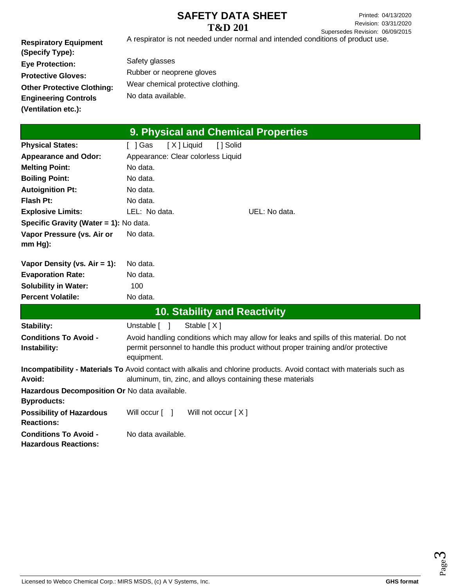A respirator is not needed under normal and intended conditions of product use.

**Respiratory Equipment (Specify Type): Eye Protection: Protective Gloves: Other Protective Clothing: Engineering Controls (Ventilation etc.):**

Safety glasses Rubber or neoprene gloves Wear chemical protective clothing. No data available.

| 9. Physical and Chemical Properties                                 |                                                                                                                                                                                            |  |  |
|---------------------------------------------------------------------|--------------------------------------------------------------------------------------------------------------------------------------------------------------------------------------------|--|--|
| <b>Physical States:</b>                                             | [X] Liquid<br>[ ] Solid<br>[ ] Gas                                                                                                                                                         |  |  |
| <b>Appearance and Odor:</b>                                         | Appearance: Clear colorless Liquid                                                                                                                                                         |  |  |
| <b>Melting Point:</b>                                               | No data.                                                                                                                                                                                   |  |  |
| <b>Boiling Point:</b>                                               | No data.                                                                                                                                                                                   |  |  |
| <b>Autoignition Pt:</b>                                             | No data.                                                                                                                                                                                   |  |  |
| <b>Flash Pt:</b>                                                    | No data.                                                                                                                                                                                   |  |  |
| <b>Explosive Limits:</b>                                            | LEL: No data.<br>UEL: No data.                                                                                                                                                             |  |  |
| Specific Gravity (Water = 1): No data.                              |                                                                                                                                                                                            |  |  |
| Vapor Pressure (vs. Air or<br>$mm Hg$ :                             | No data.                                                                                                                                                                                   |  |  |
| Vapor Density (vs. $Air = 1$ ):                                     | No data.                                                                                                                                                                                   |  |  |
| <b>Evaporation Rate:</b>                                            | No data.                                                                                                                                                                                   |  |  |
| <b>Solubility in Water:</b>                                         | 100                                                                                                                                                                                        |  |  |
| <b>Percent Volatile:</b>                                            | No data.                                                                                                                                                                                   |  |  |
|                                                                     | <b>10. Stability and Reactivity</b>                                                                                                                                                        |  |  |
| Stability:                                                          | Unstable [ ]<br>Stable $[X]$                                                                                                                                                               |  |  |
| <b>Conditions To Avoid -</b><br>Instability:                        | Avoid handling conditions which may allow for leaks and spills of this material. Do not<br>permit personnel to handle this product without proper training and/or protective<br>equipment. |  |  |
| Avoid:                                                              | Incompatibility - Materials To Avoid contact with alkalis and chlorine products. Avoid contact with materials such as<br>aluminum, tin, zinc, and alloys containing these materials        |  |  |
| Hazardous Decomposition Or No data available.<br><b>Byproducts:</b> |                                                                                                                                                                                            |  |  |
| <b>Possibility of Hazardous</b><br><b>Reactions:</b>                | Will occur [ ]<br>Will not occur [X]                                                                                                                                                       |  |  |
| <b>Conditions To Avoid -</b><br><b>Hazardous Reactions:</b>         | No data available.                                                                                                                                                                         |  |  |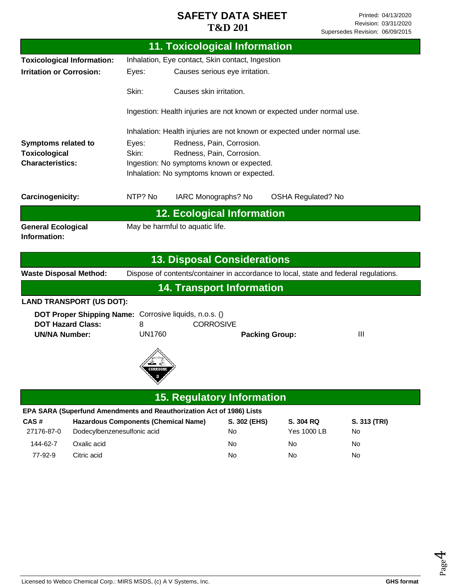|                                                                       |                                                                         | <b>11. Toxicological Information</b>                                                 |                                 |                    |
|-----------------------------------------------------------------------|-------------------------------------------------------------------------|--------------------------------------------------------------------------------------|---------------------------------|--------------------|
| <b>Toxicological Information:</b>                                     |                                                                         | Inhalation, Eye contact, Skin contact, Ingestion                                     |                                 |                    |
| <b>Irritation or Corrosion:</b>                                       | Causes serious eye irritation.<br>Eyes:                                 |                                                                                      |                                 |                    |
|                                                                       | Skin:                                                                   | Causes skin irritation.                                                              |                                 |                    |
|                                                                       | Ingestion: Health injuries are not known or expected under normal use.  |                                                                                      |                                 |                    |
|                                                                       | Inhalation: Health injuries are not known or expected under normal use. |                                                                                      |                                 |                    |
| <b>Symptoms related to</b>                                            | Eyes:                                                                   | Redness, Pain, Corrosion.                                                            |                                 |                    |
| <b>Toxicological</b>                                                  | Skin:                                                                   | Redness, Pain, Corrosion.                                                            |                                 |                    |
| <b>Characteristics:</b>                                               |                                                                         | Ingestion: No symptoms known or expected.                                            |                                 |                    |
|                                                                       | Inhalation: No symptoms known or expected.                              |                                                                                      |                                 |                    |
| Carcinogenicity:                                                      | NTP? No                                                                 | IARC Monographs? No                                                                  | <b>OSHA Regulated? No</b>       |                    |
|                                                                       |                                                                         | <b>12. Ecological Information</b>                                                    |                                 |                    |
| <b>General Ecological</b><br>Information:                             |                                                                         | May be harmful to aquatic life.                                                      |                                 |                    |
|                                                                       |                                                                         | <b>13. Disposal Considerations</b>                                                   |                                 |                    |
| <b>Waste Disposal Method:</b>                                         |                                                                         | Dispose of contents/container in accordance to local, state and federal regulations. |                                 |                    |
|                                                                       |                                                                         | <b>14. Transport Information</b>                                                     |                                 |                    |
| <b>LAND TRANSPORT (US DOT):</b>                                       |                                                                         |                                                                                      |                                 |                    |
|                                                                       |                                                                         |                                                                                      |                                 |                    |
| DOT Proper Shipping Name: Corrosive liquids, n.o.s. ()                |                                                                         |                                                                                      |                                 |                    |
| <b>DOT Hazard Class:</b>                                              | 8                                                                       | <b>CORROSIVE</b>                                                                     |                                 |                    |
| <b>UN/NA Number:</b>                                                  | <b>UN1760</b>                                                           |                                                                                      | <b>Packing Group:</b>           | Ш                  |
|                                                                       | CORROSIVE<br>8                                                          |                                                                                      |                                 |                    |
|                                                                       |                                                                         | <b>15. Regulatory Information</b>                                                    |                                 |                    |
| EPA SARA (Superfund Amendments and Reauthorization Act of 1986) Lists |                                                                         |                                                                                      |                                 |                    |
| CAS#<br>27176-87-0<br>Dodecylbenzenesulfonic acid                     | <b>Hazardous Components (Chemical Name)</b>                             | S. 302 (EHS)<br>No                                                                   | S. 304 RQ<br><b>Yes 1000 LB</b> | S. 313 (TRI)<br>No |

77-92-9 Citric acid No No No